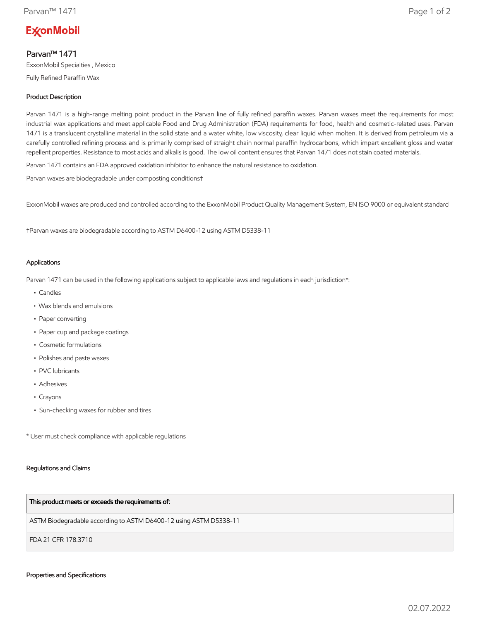# **ExconMobil**

## Parvan™ 1471

ExxonMobil Specialties , Mexico

Fully Refined Paraffin Wax

### Product Description

Parvan 1471 is a high-range melting point product in the Parvan line of fully refined paraffin waxes. Parvan waxes meet the requirements for most industrial wax applications and meet applicable Food and Drug Administration (FDA) requirements for food, health and cosmetic-related uses. Parvan 1471 is a translucent crystalline material in the solid state and a water white, low viscosity, clear liquid when molten. It is derived from petroleum via a carefully controlled refining process and is primarily comprised of straight chain normal paraffin hydrocarbons, which impart excellent gloss and water repellent properties. Resistance to most acids and alkalis is good. The low oil content ensures that Parvan 1471 does not stain coated materials.

Parvan 1471 contains an FDA approved oxidation inhibitor to enhance the natural resistance to oxidation.

Parvan waxes are biodegradable under composting conditions†

ExxonMobil waxes are produced and controlled according to the ExxonMobil Product Quality Management System, EN ISO 9000 or equivalent standard

†Parvan waxes are biodegradable according to ASTM D6400-12 using ASTM D5338-11

#### Applications

Parvan 1471 can be used in the following applications subject to applicable laws and regulations in each jurisdiction\*:

- Candles
- Wax blends and emulsions
- Paper converting
- Paper cup and package coatings
- Cosmetic formulations
- Polishes and paste waxes
- PVC lubricants
- Adhesives
- Crayons
- Sun-checking waxes for rubber and tires

\* User must check compliance with applicable regulations

#### Regulations and Claims

#### This product meets or exceeds the requirements of:

ASTM Biodegradable according to ASTM D6400-12 using ASTM D5338-11

FDA 21 CFR 178.3710